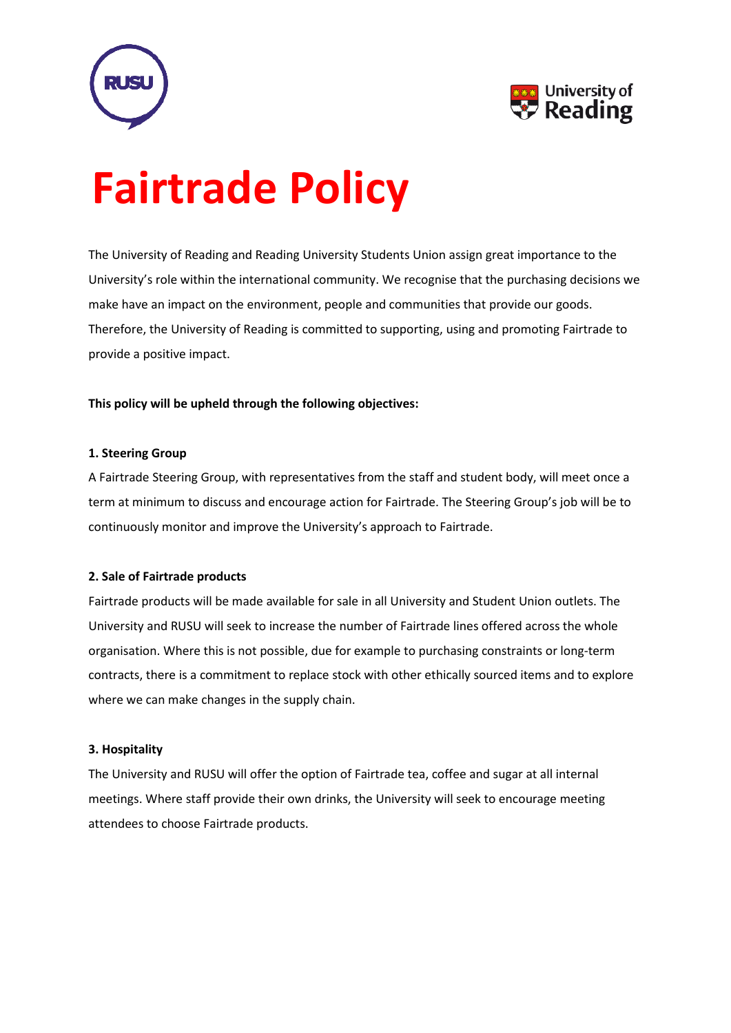



# **Fairtrade Policy**

The University of Reading and Reading University Students Union assign great importance to the University's role within the international community. We recognise that the purchasing decisions we make have an impact on the environment, people and communities that provide our goods. Therefore, the University of Reading is committed to supporting, using and promoting Fairtrade to provide a positive impact.

# **This policy will be upheld through the following objectives:**

## **1. Steering Group**

A Fairtrade Steering Group, with representatives from the staff and student body, will meet once a term at minimum to discuss and encourage action for Fairtrade. The Steering Group's job will be to continuously monitor and improve the University's approach to Fairtrade.

## **2. Sale of Fairtrade products**

Fairtrade products will be made available for sale in all University and Student Union outlets. The University and RUSU will seek to increase the number of Fairtrade lines offered across the whole organisation. Where this is not possible, due for example to purchasing constraints or long-term contracts, there is a commitment to replace stock with other ethically sourced items and to explore where we can make changes in the supply chain.

#### **3. Hospitality**

The University and RUSU will offer the option of Fairtrade tea, coffee and sugar at all internal meetings. Where staff provide their own drinks, the University will seek to encourage meeting attendees to choose Fairtrade products.